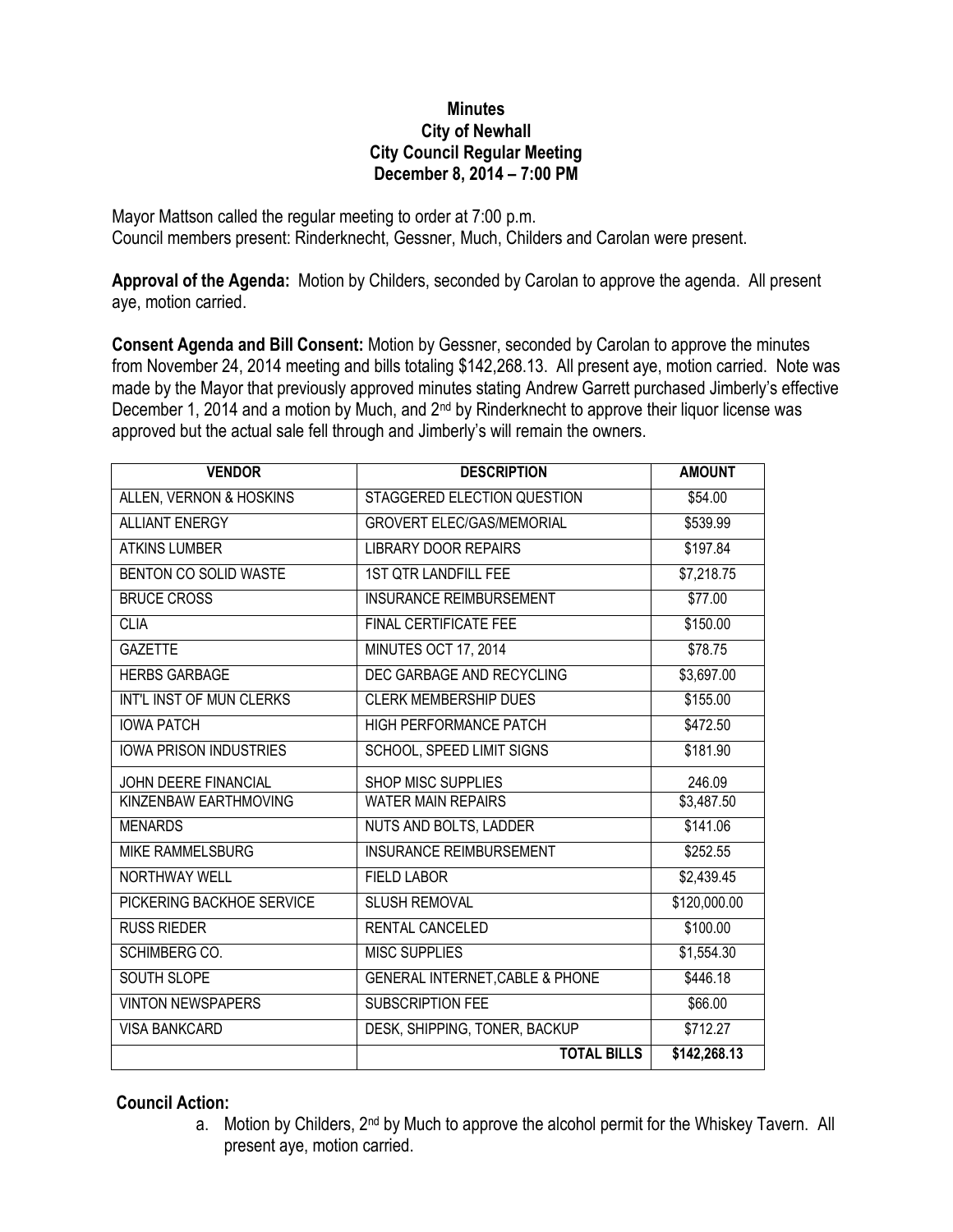## **Minutes City of Newhall City Council Regular Meeting December 8, 2014 – 7:00 PM**

Mayor Mattson called the regular meeting to order at 7:00 p.m. Council members present: Rinderknecht, Gessner, Much, Childers and Carolan were present.

**Approval of the Agenda:** Motion by Childers, seconded by Carolan to approve the agenda. All present aye, motion carried.

**Consent Agenda and Bill Consent:** Motion by Gessner, seconded by Carolan to approve the minutes from November 24, 2014 meeting and bills totaling \$142,268.13. All present aye, motion carried. Note was made by the Mayor that previously approved minutes stating Andrew Garrett purchased Jimberly's effective December 1, 2014 and a motion by Much, and 2nd by Rinderknecht to approve their liquor license was approved but the actual sale fell through and Jimberly's will remain the owners.

| <b>VENDOR</b>                 | <b>DESCRIPTION</b>                         | <b>AMOUNT</b>          |
|-------------------------------|--------------------------------------------|------------------------|
| ALLEN, VERNON & HOSKINS       | STAGGERED ELECTION QUESTION                | \$54.00                |
| <b>ALLIANT ENERGY</b>         | <b>GROVERT ELEC/GAS/MEMORIAL</b>           | \$539.99               |
| <b>ATKINS LUMBER</b>          | <b>LIBRARY DOOR REPAIRS</b>                | \$197.84               |
| <b>BENTON CO SOLID WASTE</b>  | 1ST QTR LANDFILL FEE                       | \$7,218.75             |
| <b>BRUCE CROSS</b>            | <b>INSURANCE REIMBURSEMENT</b>             | \$77.00                |
| <b>CLIA</b>                   | <b>FINAL CERTIFICATE FEE</b>               | \$150.00               |
| <b>GAZETTE</b>                | MINUTES OCT 17, 2014                       | \$78.75                |
| <b>HERBS GARBAGE</b>          | DEC GARBAGE AND RECYCLING                  | \$3,697.00             |
| INT'L INST OF MUN CLERKS      | <b>CLERK MEMBERSHIP DUES</b>               | \$155.00               |
| <b>IOWA PATCH</b>             | <b>HIGH PERFORMANCE PATCH</b>              | \$472.50               |
| <b>IOWA PRISON INDUSTRIES</b> | SCHOOL, SPEED LIMIT SIGNS                  | \$181.90               |
| JOHN DEERE FINANCIAL          | SHOP MISC SUPPLIES                         | 246.09                 |
| KINZENBAW EARTHMOVING         | <b>WATER MAIN REPAIRS</b>                  | $\overline{$3,487.50}$ |
| <b>MENARDS</b>                | NUTS AND BOLTS, LADDER                     | \$141.06               |
| <b>MIKE RAMMELSBURG</b>       | <b>INSURANCE REIMBURSEMENT</b>             | \$252.55               |
| <b>NORTHWAY WELL</b>          | <b>FIELD LABOR</b>                         | \$2,439.45             |
| PICKERING BACKHOE SERVICE     | <b>SLUSH REMOVAL</b>                       | \$120,000.00           |
| <b>RUSS RIEDER</b>            | RENTAL CANCELED                            | \$100.00               |
| SCHIMBERG CO.                 | <b>MISC SUPPLIES</b>                       | \$1,554.30             |
| <b>SOUTH SLOPE</b>            | <b>GENERAL INTERNET, CABLE &amp; PHONE</b> | \$446.18               |
| <b>VINTON NEWSPAPERS</b>      | <b>SUBSCRIPTION FEE</b>                    | \$66.00                |
| <b>VISA BANKCARD</b>          | DESK, SHIPPING, TONER, BACKUP              | \$712.27               |
|                               | <b>TOTAL BILLS</b>                         | \$142,268.13           |

## **Council Action:**

a. Motion by Childers, 2<sup>nd</sup> by Much to approve the alcohol permit for the Whiskey Tavern. All present aye, motion carried.